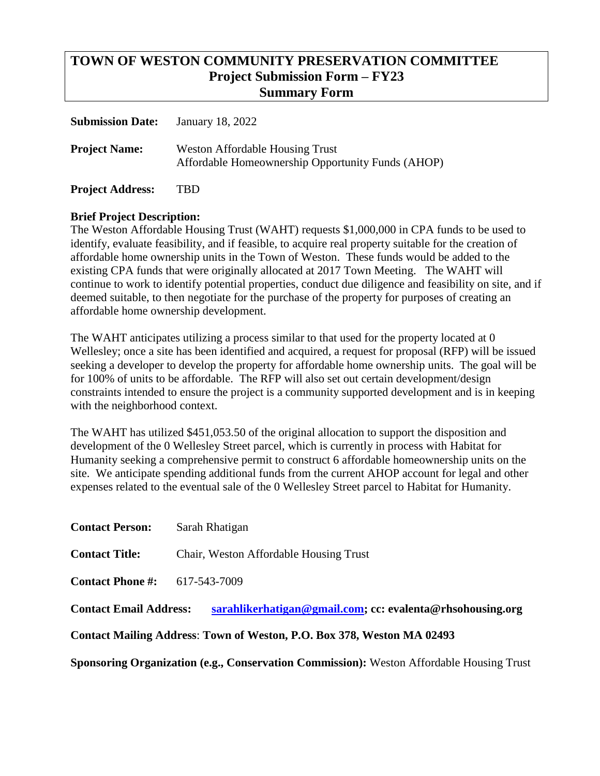## **TOWN OF WESTON COMMUNITY PRESERVATION COMMITTEE Project Submission Form – FY23 Summary Form**

| <b>Submission Date:</b> | January 18, 2022                                                                            |
|-------------------------|---------------------------------------------------------------------------------------------|
| <b>Project Name:</b>    | <b>Weston Affordable Housing Trust</b><br>Affordable Homeownership Opportunity Funds (AHOP) |

**Project Address:** TBD

### **Brief Project Description:**

The Weston Affordable Housing Trust (WAHT) requests \$1,000,000 in CPA funds to be used to identify, evaluate feasibility, and if feasible, to acquire real property suitable for the creation of affordable home ownership units in the Town of Weston. These funds would be added to the existing CPA funds that were originally allocated at 2017 Town Meeting. The WAHT will continue to work to identify potential properties, conduct due diligence and feasibility on site, and if deemed suitable, to then negotiate for the purchase of the property for purposes of creating an affordable home ownership development.

The WAHT anticipates utilizing a process similar to that used for the property located at 0 Wellesley; once a site has been identified and acquired, a request for proposal (RFP) will be issued seeking a developer to develop the property for affordable home ownership units. The goal will be for 100% of units to be affordable. The RFP will also set out certain development/design constraints intended to ensure the project is a community supported development and is in keeping with the neighborhood context.

The WAHT has utilized \$451,053.50 of the original allocation to support the disposition and development of the 0 Wellesley Street parcel, which is currently in process with Habitat for Humanity seeking a comprehensive permit to construct 6 affordable homeownership units on the site. We anticipate spending additional funds from the current AHOP account for legal and other expenses related to the eventual sale of the 0 Wellesley Street parcel to Habitat for Humanity.

**Contact Person:** Sarah Rhatigan

**Contact Title:** Chair, Weston Affordable Housing Trust

**Contact Phone #:** 617-543-7009

**Contact Email Address: [sarahlikerhatigan@gmail.com;](mailto:sarahlikerhatigan@gmail.com) cc: evalenta@rhsohousing.org**

**Contact Mailing Address**: **Town of Weston, P.O. Box 378, Weston MA 02493**

**Sponsoring Organization (e.g., Conservation Commission):** Weston Affordable Housing Trust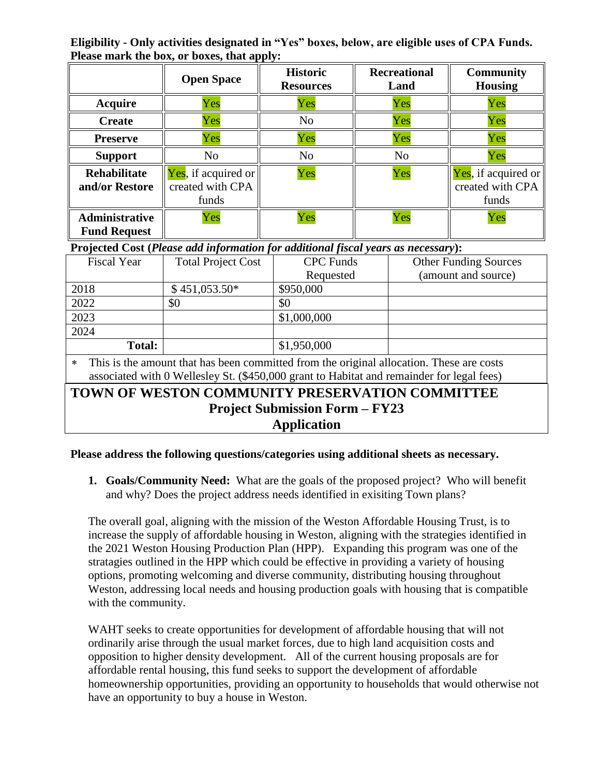**Eligibility - Only activities designated in "Yes" boxes, below, are eligible uses of CPA Funds. Please mark the box, or boxes, that apply:**

|                                              | <b>Open Space</b>                                | <b>Historic</b><br><b>Resources</b> | <b>Recreational</b><br>Land | <b>Community</b><br><b>Housing</b>               |
|----------------------------------------------|--------------------------------------------------|-------------------------------------|-----------------------------|--------------------------------------------------|
| <b>Acquire</b>                               | Yes                                              | Yes                                 | Yes                         | Yes                                              |
| <b>Create</b>                                | Yes                                              | N <sub>o</sub>                      | Yes                         | Yes                                              |
| <b>Preserve</b>                              | Yes                                              | Yes                                 | Yes                         | Yes                                              |
| <b>Support</b>                               | No                                               | N <sub>o</sub>                      | N <sub>o</sub>              | Yes                                              |
| <b>Rehabilitate</b><br>and/or Restore        | Yes, if acquired or<br>created with CPA<br>funds | Yes                                 | Yes                         | Yes, if acquired or<br>created with CPA<br>funds |
| <b>Administrative</b><br><b>Fund Request</b> | Yes                                              | Yes                                 | Yes                         | Yes                                              |

**Projected Cost (***Please add information for additional fiscal years as necessary***):**

| <b>Fiscal Year</b>                                                                                 | <b>Total Project Cost</b> | <b>CPC</b> Funds | <b>Other Funding Sources</b> |  |  |
|----------------------------------------------------------------------------------------------------|---------------------------|------------------|------------------------------|--|--|
|                                                                                                    |                           | Requested        | (amount and source)          |  |  |
| 2018                                                                                               | $$451,053.50*$            | \$950,000        |                              |  |  |
| 2022                                                                                               | \$0                       | \$0              |                              |  |  |
| 2023                                                                                               |                           | \$1,000,000      |                              |  |  |
| 2024                                                                                               |                           |                  |                              |  |  |
| Total:                                                                                             |                           | \$1,950,000      |                              |  |  |
| This is the amount that has been committed from the original allocation. These are costs<br>$\ast$ |                           |                  |                              |  |  |
| associated with 0 Wellesley St. (\$450,000 grant to Habitat and remainder for legal fees)          |                           |                  |                              |  |  |
| TOWN OF WESTON COMMUNITY PRESERVATION COMMITTEE                                                    |                           |                  |                              |  |  |

# **Project Submission Form – FY23 Application**

#### **Please address the following questions/categories using additional sheets as necessary.**

**1. Goals/Community Need:** What are the goals of the proposed project? Who will benefit and why? Does the project address needs identified in exisiting Town plans?

The overall goal, aligning with the mission of the Weston Affordable Housing Trust, is to increase the supply of affordable housing in Weston, aligning with the strategies identified in the 2021 Weston Housing Production Plan (HPP). Expanding this program was one of the stratagies outlined in the HPP which could be effective in providing a variety of housing options, promoting welcoming and diverse community, distributing housing throughout Weston, addressing local needs and housing production goals with housing that is compatible with the community.

WAHT seeks to create opportunities for development of affordable housing that will not ordinarily arise through the usual market forces, due to high land acquisition costs and opposition to higher density development. All of the current housing proposals are for affordable rental housing, this fund seeks to support the development of affordable homeownership opportunities, providing an opportunity to households that would otherwise not have an opportunity to buy a house in Weston.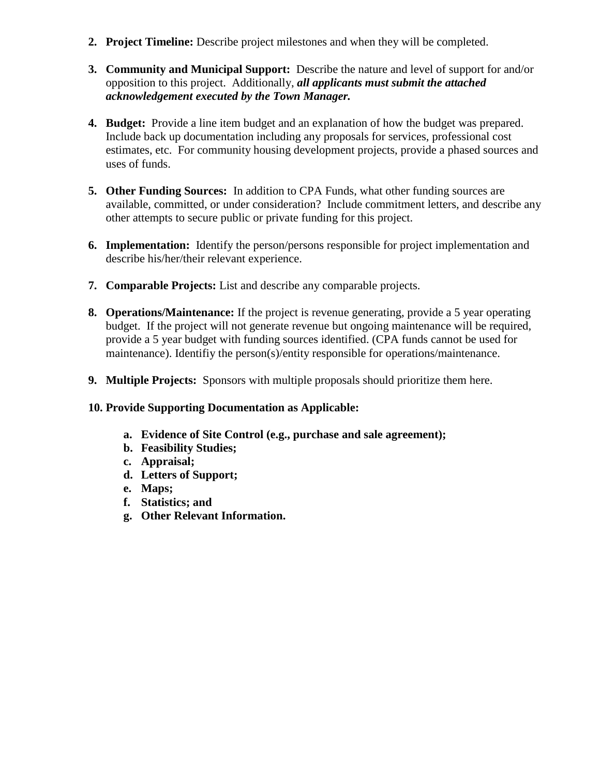- **2. Project Timeline:** Describe project milestones and when they will be completed.
- **3. Community and Municipal Support:** Describe the nature and level of support for and/or opposition to this project. Additionally, *all applicants must submit the attached acknowledgement executed by the Town Manager.*
- **4. Budget:** Provide a line item budget and an explanation of how the budget was prepared. Include back up documentation including any proposals for services, professional cost estimates, etc. For community housing development projects, provide a phased sources and uses of funds.
- **5. Other Funding Sources:** In addition to CPA Funds, what other funding sources are available, committed, or under consideration? Include commitment letters, and describe any other attempts to secure public or private funding for this project.
- **6. Implementation:** Identify the person/persons responsible for project implementation and describe his/her/their relevant experience.
- **7. Comparable Projects:** List and describe any comparable projects.
- **8. Operations/Maintenance:** If the project is revenue generating, provide a 5 year operating budget. If the project will not generate revenue but ongoing maintenance will be required, provide a 5 year budget with funding sources identified. (CPA funds cannot be used for maintenance). Identifiy the person(s)/entity responsible for operations/maintenance.
- **9. Multiple Projects:** Sponsors with multiple proposals should prioritize them here.

#### **10. Provide Supporting Documentation as Applicable:**

- **a. Evidence of Site Control (e.g., purchase and sale agreement);**
- **b. Feasibility Studies;**
- **c. Appraisal;**
- **d. Letters of Support;**
- **e. Maps;**
- **f. Statistics; and**
- **g. Other Relevant Information.**